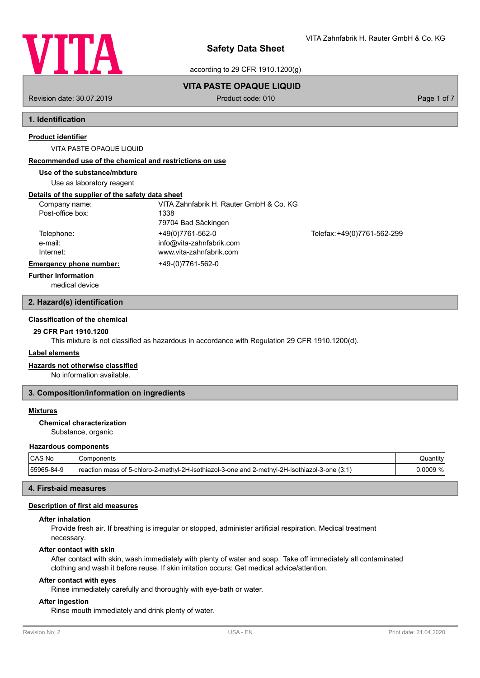

VITA Zahnfabrik H. Rauter GmbH & Co. KG

according to 29 CFR 1910.1200(g)

## **VITA PASTE OPAQUE LIQUID**

Revision date: 30.07.2019 **Product code: 010** Product code: 010 **Page 1 of 7** Page 1 of 7

# **1. Identification**

## **Product identifier**

VITA PASTE OPAQUE LIQUID

### **Recommended use of the chemical and restrictions on use**

## **Use of the substance/mixture**

Use as laboratory reagent

## **Details of the supplier of the safety data sheet**

| Company name:                  | VITA Zahnfabrik H. Rauter GmbH & Co. KG |                             |
|--------------------------------|-----------------------------------------|-----------------------------|
| Post-office box:               | 1338                                    |                             |
|                                | 79704 Bad Säckingen                     |                             |
| Telephone:                     | +49(0)7761-562-0                        | Telefax: +49(0)7761-562-299 |
| e-mail:                        | info@vita-zahnfabrik.com                |                             |
| Internet:                      | www.vita-zahnfabrik.com                 |                             |
| <b>Emergency phone number:</b> | +49-(0)7761-562-0                       |                             |
| <b>Further Information</b>     |                                         |                             |

medical device

## **2. Hazard(s) identification**

## **Classification of the chemical**

## **29 CFR Part 1910.1200**

This mixture is not classified as hazardous in accordance with Regulation 29 CFR 1910.1200(d).

## **Label elements**

## **Hazards not otherwise classified**

No information available.

## **3. Composition/information on ingredients**

#### **Mixtures**

## **Chemical characterization**

Substance, organic

### **Hazardous components**

| ∣CAS No    | 'Components                                                                                   | Quantity' |
|------------|-----------------------------------------------------------------------------------------------|-----------|
| 55965-84-9 | reaction mass of 5-chloro-2-methyl-2H-isothiazol-3-one and 2-methyl-2H-isothiazol-3-one (3:1) | 0.0009 %l |

## **4. First-aid measures**

#### **Description of first aid measures**

## **After inhalation**

Provide fresh air. If breathing is irregular or stopped, administer artificial respiration. Medical treatment necessary.

#### **After contact with skin**

After contact with skin, wash immediately with plenty of water and soap. Take off immediately all contaminated clothing and wash it before reuse. If skin irritation occurs: Get medical advice/attention.

#### **After contact with eyes**

Rinse immediately carefully and thoroughly with eye-bath or water.

#### **After ingestion**

Rinse mouth immediately and drink plenty of water.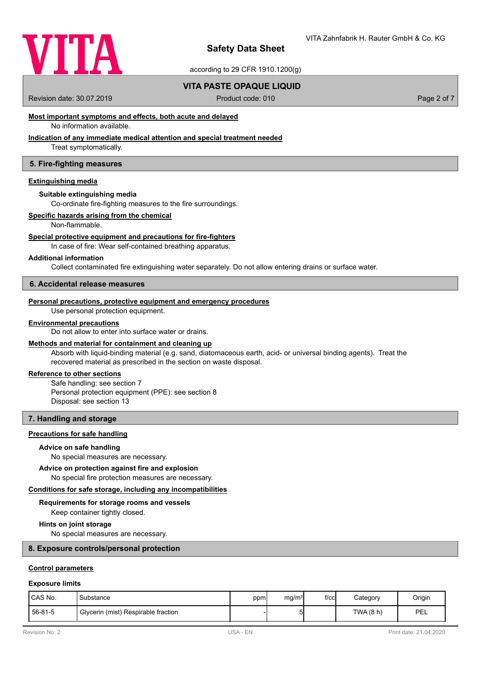

according to 29 CFR 1910.1200(g)

## **VITA PASTE OPAQUE LIQUID**

Revision date: 30.07.2019 **Product code: 010** Product code: 010 **Page 2 of 7** Page 2 of 7

## **Most important symptoms and effects, both acute and delayed**

No information available.

## **Indication of any immediate medical attention and special treatment needed**

Treat symptomatically.

## **5. Fire-fighting measures**

## **Extinguishing media**

#### **Suitable extinguishing media**

Co-ordinate fire-fighting measures to the fire surroundings.

### **Specific hazards arising from the chemical**

Non-flammable.

#### **Special protective equipment and precautions for fire-fighters**

In case of fire: Wear self-contained breathing apparatus.

### **Additional information**

Collect contaminated fire extinguishing water separately. Do not allow entering drains or surface water.

### **6. Accidental release measures**

#### **Personal precautions, protective equipment and emergency procedures**

Use personal protection equipment.

#### **Environmental precautions**

Do not allow to enter into surface water or drains.

## **Methods and material for containment and cleaning up**

Absorb with liquid-binding material (e.g. sand, diatomaceous earth, acid- or universal binding agents). Treat the recovered material as prescribed in the section on waste disposal.

## **Reference to other sections**

Safe handling: see section 7 Personal protection equipment (PPE): see section 8 Disposal: see section 13

## **7. Handling and storage**

#### **Precautions for safe handling**

#### **Advice on safe handling**

No special measures are necessary.

### No special fire protection measures are necessary. **Advice on protection against fire and explosion**

**Conditions for safe storage, including any incompatibilities**

# **Requirements for storage rooms and vessels**

Keep container tightly closed.

#### **Hints on joint storage**

No special measures are necessary.

#### **8. Exposure controls/personal protection**

## **Control parameters**

#### **Exposure limits**

| I CAS No. | Substance                           | ppm | mg/m <sup>3</sup> | $f$ / $c$ c $\vert$ | Category  | Origin |
|-----------|-------------------------------------|-----|-------------------|---------------------|-----------|--------|
| 56-81-5   | Glycerin (mist) Respirable fraction |     | י                 |                     | TWA (8 h) | PEL    |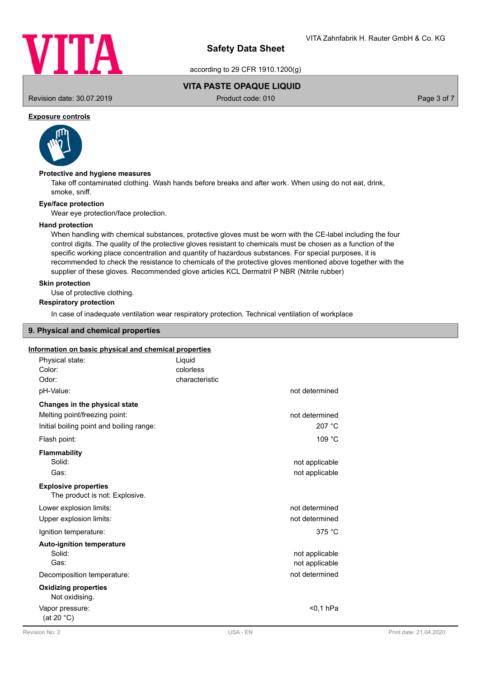

according to 29 CFR 1910.1200(g)

## **VITA PASTE OPAQUE LIQUID**

Revision date: 30.07.2019 **Product code: 010** Product code: 010 **Page 3 of 7** Page 3 of 7

## **Exposure controls**



#### **Protective and hygiene measures**

Take off contaminated clothing. Wash hands before breaks and after work. When using do not eat, drink, smoke, sniff.

## **Eye/face protection**

Wear eye protection/face protection.

#### **Hand protection**

When handling with chemical substances, protective gloves must be worn with the CE-label including the four control digits. The quality of the protective gloves resistant to chemicals must be chosen as a function of the specific working place concentration and quantity of hazardous substances. For special purposes, it is recommended to check the resistance to chemicals of the protective gloves mentioned above together with the supplier of these gloves. Recommended glove articles KCL Dermatril P NBR (Nitrile rubber)

## **Skin protection**

Use of protective clothing.

## **Respiratory protection**

In case of inadequate ventilation wear respiratory protection. Technical ventilation of workplace

#### **9. Physical and chemical properties**

#### **Information on basic physical and chemical properties**

| Physical state:<br>Color:                                     | Liguid<br>colorless |                |
|---------------------------------------------------------------|---------------------|----------------|
| Odor:                                                         | characteristic      |                |
| pH-Value:                                                     |                     | not determined |
| Changes in the physical state                                 |                     |                |
| Melting point/freezing point:                                 |                     | not determined |
| Initial boiling point and boiling range:                      |                     | 207 °C         |
| Flash point:                                                  |                     | 109 °C         |
| <b>Flammability</b>                                           |                     |                |
| Solid:                                                        |                     | not applicable |
| Gas:                                                          |                     | not applicable |
| <b>Explosive properties</b><br>The product is not: Explosive. |                     |                |
| Lower explosion limits:                                       |                     | not determined |
| Upper explosion limits:                                       |                     | not determined |
| Ignition temperature:                                         |                     | 375 °C         |
| <b>Auto-ignition temperature</b>                              |                     |                |
| Solid:                                                        |                     | not applicable |
| Gas:                                                          |                     | not applicable |
| Decomposition temperature:                                    |                     | not determined |
| <b>Oxidizing properties</b><br>Not oxidising.                 |                     |                |
| Vapor pressure:<br>(at 20 °C)                                 |                     | $0.1$ hPa      |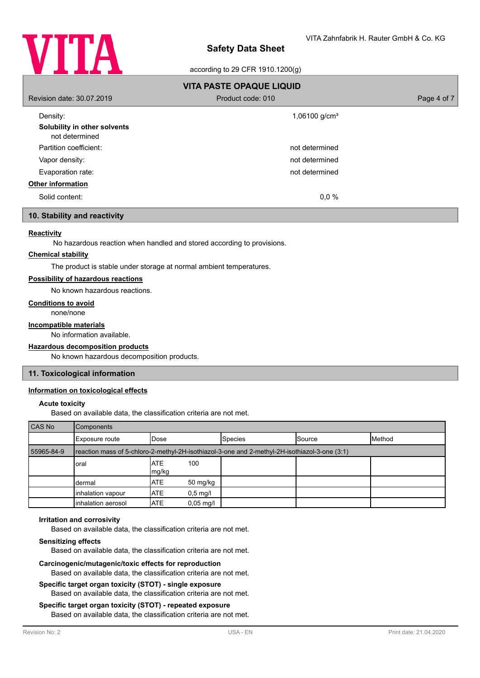

## according to 29 CFR 1910.1200(g)

| <b>VITA PASTE OPAQUE LIQUID</b>          |                           |             |  |  |
|------------------------------------------|---------------------------|-------------|--|--|
| Revision date: 30.07.2019                | Product code: 010         | Page 4 of 7 |  |  |
| Density:<br>Solubility in other solvents | 1,06100 g/cm <sup>3</sup> |             |  |  |
| not determined                           |                           |             |  |  |
| Partition coefficient:                   | not determined            |             |  |  |
| Vapor density:                           | not determined            |             |  |  |
| Evaporation rate:                        | not determined            |             |  |  |
| <b>Other information</b>                 |                           |             |  |  |
| Solid content:                           | $0.0 \%$                  |             |  |  |
|                                          |                           |             |  |  |

## **10. Stability and reactivity**

## **Reactivity**

No hazardous reaction when handled and stored according to provisions.

#### **Chemical stability**

The product is stable under storage at normal ambient temperatures.

## **Possibility of hazardous reactions**

No known hazardous reactions.

#### **Conditions to avoid**

none/none

#### **Incompatible materials**

No information available.

#### **Hazardous decomposition products**

No known hazardous decomposition products.

### **11. Toxicological information**

### **Information on toxicological effects**

#### **Acute toxicity**

Based on available data, the classification criteria are not met.

| CAS No     | <b>Components</b>                                                                             |                                   |                |        |                |
|------------|-----------------------------------------------------------------------------------------------|-----------------------------------|----------------|--------|----------------|
|            | Exposure route                                                                                | lDose                             | <b>Species</b> | Source | <b>IMethod</b> |
| 55965-84-9 | reaction mass of 5-chloro-2-methyl-2H-isothiazol-3-one and 2-methyl-2H-isothiazol-3-one (3:1) |                                   |                |        |                |
|            | oral                                                                                          | <b>IATE</b><br>100<br>mg/kg       |                |        |                |
|            | dermal                                                                                        | <b>ATE</b><br>50 mg/kg            |                |        |                |
|            | inhalation vapour                                                                             | <b>ATE</b><br>$0,5$ mg/l          |                |        |                |
|            | Inhalation aerosol                                                                            | <b>ATE</b><br>$0,05 \text{ mg/l}$ |                |        |                |

#### **Irritation and corrosivity**

Based on available data, the classification criteria are not met.

#### **Sensitizing effects**

Based on available data, the classification criteria are not met.

#### **Carcinogenic/mutagenic/toxic effects for reproduction**

Based on available data, the classification criteria are not met.

#### **Specific target organ toxicity (STOT) - single exposure** Based on available data, the classification criteria are not met.

#### **Specific target organ toxicity (STOT) - repeated exposure**

Based on available data, the classification criteria are not met.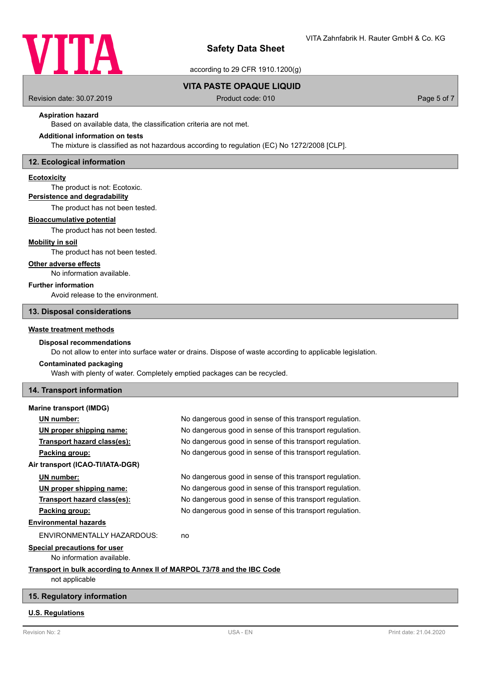

according to 29 CFR 1910.1200(g)

## **VITA PASTE OPAQUE LIQUID**

Revision date: 30.07.2019 **Product code: 010** Product code: 010 **Page 5 of 7** Page 5 of 7

## **Aspiration hazard**

Based on available data, the classification criteria are not met.

## **Additional information on tests**

The mixture is classified as not hazardous according to regulation (EC) No 1272/2008 [CLP].

### **12. Ecological information**

#### **Ecotoxicity**

The product is not: Ecotoxic.

## **Persistence and degradability**

The product has not been tested.

#### **Bioaccumulative potential**

The product has not been tested.

## **Mobility in soil**

The product has not been tested.

#### **Other adverse effects**

No information available.

## **Further information**

Avoid release to the environment.

### **13. Disposal considerations**

#### **Waste treatment methods**

#### **Disposal recommendations**

Do not allow to enter into surface water or drains. Dispose of waste according to applicable legislation.

# **Contaminated packaging**

Wash with plenty of water. Completely emptied packages can be recycled.

#### **14. Transport information**

| <b>Marine transport (IMDG)</b>                                           |                                                          |
|--------------------------------------------------------------------------|----------------------------------------------------------|
| UN number:                                                               | No dangerous good in sense of this transport regulation. |
| UN proper shipping name:                                                 | No dangerous good in sense of this transport regulation. |
| Transport hazard class(es):                                              | No dangerous good in sense of this transport regulation. |
| Packing group:                                                           | No dangerous good in sense of this transport regulation. |
| Air transport (ICAO-TI/IATA-DGR)                                         |                                                          |
| UN number:                                                               | No dangerous good in sense of this transport regulation. |
| UN proper shipping name:                                                 | No dangerous good in sense of this transport regulation. |
| Transport hazard class(es):                                              | No dangerous good in sense of this transport regulation. |
| Packing group:                                                           | No dangerous good in sense of this transport regulation. |
| <b>Environmental hazards</b>                                             |                                                          |
| ENVIRONMENTALLY HAZARDOUS:                                               | no                                                       |
| <b>Special precautions for user</b>                                      |                                                          |
| No information available.                                                |                                                          |
| Transport in bulk according to Annex II of MARPOL 73/78 and the IBC Code |                                                          |
| not applicable                                                           |                                                          |

## **15. Regulatory information**

#### **U.S. Regulations**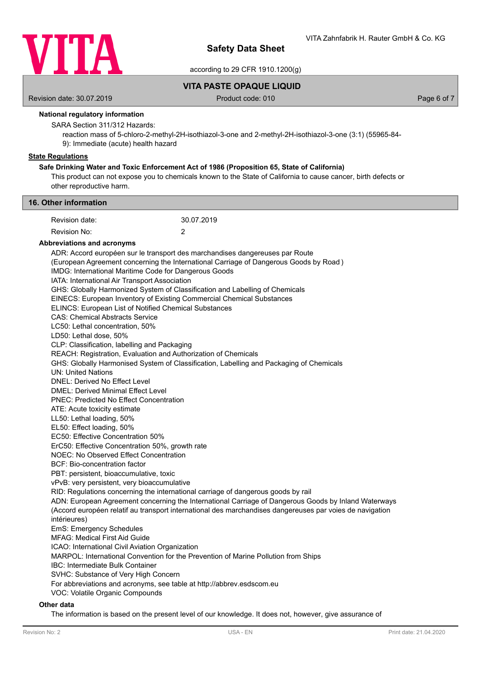

according to 29 CFR 1910.1200(g)

**VITA PASTE OPAQUE LIQUID**

Revision date: 30.07.2019 **Product code: 010** Product code: 010 **Page 6 of 7** Page 6 of 7

## **National regulatory information**

SARA Section 311/312 Hazards:

reaction mass of 5-chloro-2-methyl-2H-isothiazol-3-one and 2-methyl-2H-isothiazol-3-one (3:1) (55965-84- 9): Immediate (acute) health hazard

## **State Regulations**

## **Safe Drinking Water and Toxic Enforcement Act of 1986 (Proposition 65, State of California)**

This product can not expose you to chemicals known to the State of California to cause cancer, birth defects or other reproductive harm.

| 16. Other information                                          |                                                                                                                                                           |                                                                                                                                                                                                                  |  |  |  |
|----------------------------------------------------------------|-----------------------------------------------------------------------------------------------------------------------------------------------------------|------------------------------------------------------------------------------------------------------------------------------------------------------------------------------------------------------------------|--|--|--|
| Revision date:                                                 | 30.07.2019                                                                                                                                                |                                                                                                                                                                                                                  |  |  |  |
| Revision No:                                                   | $\overline{2}$                                                                                                                                            |                                                                                                                                                                                                                  |  |  |  |
| <b>Abbreviations and acronyms</b>                              |                                                                                                                                                           |                                                                                                                                                                                                                  |  |  |  |
|                                                                | ADR: Accord européen sur le transport des marchandises dangereuses par Route                                                                              |                                                                                                                                                                                                                  |  |  |  |
|                                                                | (European Agreement concerning the International Carriage of Dangerous Goods by Road)                                                                     |                                                                                                                                                                                                                  |  |  |  |
|                                                                | IMDG: International Maritime Code for Dangerous Goods                                                                                                     |                                                                                                                                                                                                                  |  |  |  |
| IATA: International Air Transport Association                  | GHS: Globally Harmonized System of Classification and Labelling of Chemicals                                                                              |                                                                                                                                                                                                                  |  |  |  |
|                                                                | EINECS: European Inventory of Existing Commercial Chemical Substances                                                                                     |                                                                                                                                                                                                                  |  |  |  |
|                                                                | ELINCS: European List of Notified Chemical Substances                                                                                                     |                                                                                                                                                                                                                  |  |  |  |
| <b>CAS: Chemical Abstracts Service</b>                         |                                                                                                                                                           |                                                                                                                                                                                                                  |  |  |  |
| LC50: Lethal concentration, 50%                                |                                                                                                                                                           |                                                                                                                                                                                                                  |  |  |  |
| LD50: Lethal dose, 50%                                         |                                                                                                                                                           |                                                                                                                                                                                                                  |  |  |  |
| CLP: Classification, labelling and Packaging                   |                                                                                                                                                           |                                                                                                                                                                                                                  |  |  |  |
|                                                                | REACH: Registration, Evaluation and Authorization of Chemicals<br>GHS: Globally Harmonised System of Classification, Labelling and Packaging of Chemicals |                                                                                                                                                                                                                  |  |  |  |
| <b>UN: United Nations</b>                                      |                                                                                                                                                           |                                                                                                                                                                                                                  |  |  |  |
| <b>DNEL: Derived No Effect Level</b>                           |                                                                                                                                                           |                                                                                                                                                                                                                  |  |  |  |
| <b>DMEL: Derived Minimal Effect Level</b>                      |                                                                                                                                                           |                                                                                                                                                                                                                  |  |  |  |
| <b>PNEC: Predicted No Effect Concentration</b>                 |                                                                                                                                                           |                                                                                                                                                                                                                  |  |  |  |
| ATE: Acute toxicity estimate                                   |                                                                                                                                                           |                                                                                                                                                                                                                  |  |  |  |
| LL50: Lethal loading, 50%                                      |                                                                                                                                                           |                                                                                                                                                                                                                  |  |  |  |
| EL50: Effect loading, 50%<br>EC50: Effective Concentration 50% |                                                                                                                                                           |                                                                                                                                                                                                                  |  |  |  |
| ErC50: Effective Concentration 50%, growth rate                |                                                                                                                                                           |                                                                                                                                                                                                                  |  |  |  |
| NOEC: No Observed Effect Concentration                         |                                                                                                                                                           |                                                                                                                                                                                                                  |  |  |  |
|                                                                | BCF: Bio-concentration factor                                                                                                                             |                                                                                                                                                                                                                  |  |  |  |
| PBT: persistent, bioaccumulative, toxic                        |                                                                                                                                                           |                                                                                                                                                                                                                  |  |  |  |
| vPvB: very persistent, very bioaccumulative                    |                                                                                                                                                           |                                                                                                                                                                                                                  |  |  |  |
|                                                                | RID: Regulations concerning the international carriage of dangerous goods by rail                                                                         |                                                                                                                                                                                                                  |  |  |  |
|                                                                |                                                                                                                                                           | ADN: European Agreement concerning the International Carriage of Dangerous Goods by Inland Waterways<br>(Accord européen relatif au transport international des marchandises dangereuses par voies de navigation |  |  |  |
| intérieures)                                                   |                                                                                                                                                           |                                                                                                                                                                                                                  |  |  |  |
| EmS: Emergency Schedules                                       |                                                                                                                                                           |                                                                                                                                                                                                                  |  |  |  |
| <b>MFAG: Medical First Aid Guide</b>                           |                                                                                                                                                           |                                                                                                                                                                                                                  |  |  |  |
| ICAO: International Civil Aviation Organization                |                                                                                                                                                           |                                                                                                                                                                                                                  |  |  |  |
|                                                                | MARPOL: International Convention for the Prevention of Marine Pollution from Ships                                                                        |                                                                                                                                                                                                                  |  |  |  |
| <b>IBC: Intermediate Bulk Container</b>                        |                                                                                                                                                           |                                                                                                                                                                                                                  |  |  |  |
|                                                                | SVHC: Substance of Very High Concern<br>For abbreviations and acronyms, see table at http://abbrev.esdscom.eu                                             |                                                                                                                                                                                                                  |  |  |  |
| VOC: Volatile Organic Compounds                                |                                                                                                                                                           |                                                                                                                                                                                                                  |  |  |  |
|                                                                |                                                                                                                                                           |                                                                                                                                                                                                                  |  |  |  |

## **Other data**

The information is based on the present level of our knowledge. It does not, however, give assurance of